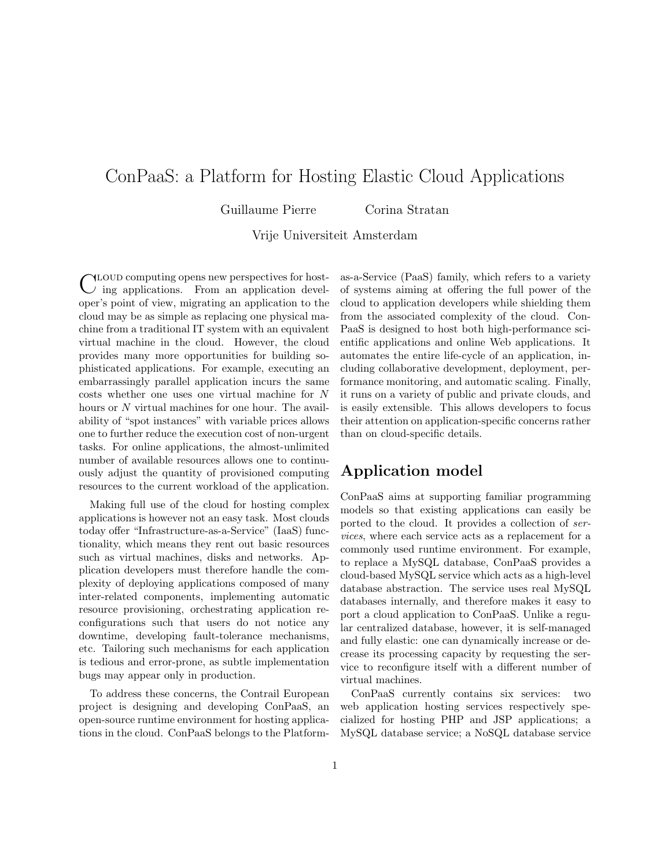# ConPaaS: a Platform for Hosting Elastic Cloud Applications

Guillaume Pierre Corina Stratan

Vrije Universiteit Amsterdam

CLOUD computing opens new perspectives for host-<br>C ing applications. From an application develloud computing opens new perspectives for hostoper's point of view, migrating an application to the cloud may be as simple as replacing one physical machine from a traditional IT system with an equivalent virtual machine in the cloud. However, the cloud provides many more opportunities for building sophisticated applications. For example, executing an embarrassingly parallel application incurs the same costs whether one uses one virtual machine for N hours or N virtual machines for one hour. The availability of "spot instances" with variable prices allows one to further reduce the execution cost of non-urgent tasks. For online applications, the almost-unlimited number of available resources allows one to continuously adjust the quantity of provisioned computing resources to the current workload of the application.

Making full use of the cloud for hosting complex applications is however not an easy task. Most clouds today offer "Infrastructure-as-a-Service" (IaaS) functionality, which means they rent out basic resources such as virtual machines, disks and networks. Application developers must therefore handle the complexity of deploying applications composed of many inter-related components, implementing automatic resource provisioning, orchestrating application reconfigurations such that users do not notice any downtime, developing fault-tolerance mechanisms, etc. Tailoring such mechanisms for each application is tedious and error-prone, as subtle implementation bugs may appear only in production.

To address these concerns, the Contrail European project is designing and developing ConPaaS, an open-source runtime environment for hosting applications in the cloud. ConPaaS belongs to the Platformas-a-Service (PaaS) family, which refers to a variety of systems aiming at offering the full power of the cloud to application developers while shielding them from the associated complexity of the cloud. Con-PaaS is designed to host both high-performance scientific applications and online Web applications. It automates the entire life-cycle of an application, including collaborative development, deployment, performance monitoring, and automatic scaling. Finally, it runs on a variety of public and private clouds, and is easily extensible. This allows developers to focus their attention on application-specific concerns rather than on cloud-specific details.

### Application model

ConPaaS aims at supporting familiar programming models so that existing applications can easily be ported to the cloud. It provides a collection of services, where each service acts as a replacement for a commonly used runtime environment. For example, to replace a MySQL database, ConPaaS provides a cloud-based MySQL service which acts as a high-level database abstraction. The service uses real MySQL databases internally, and therefore makes it easy to port a cloud application to ConPaaS. Unlike a regular centralized database, however, it is self-managed and fully elastic: one can dynamically increase or decrease its processing capacity by requesting the service to reconfigure itself with a different number of virtual machines.

ConPaaS currently contains six services: two web application hosting services respectively specialized for hosting PHP and JSP applications; a MySQL database service; a NoSQL database service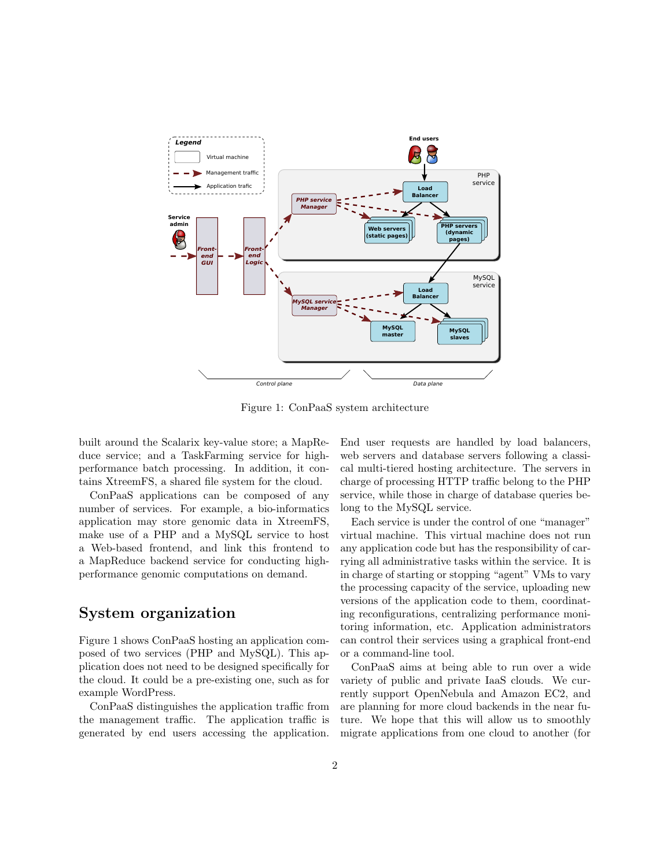

Figure 1: ConPaaS system architecture

built around the Scalarix key-value store; a MapReduce service; and a TaskFarming service for highperformance batch processing. In addition, it contains XtreemFS, a shared file system for the cloud.

ConPaaS applications can be composed of any number of services. For example, a bio-informatics application may store genomic data in XtreemFS, make use of a PHP and a MySQL service to host a Web-based frontend, and link this frontend to a MapReduce backend service for conducting highperformance genomic computations on demand.

### System organization

Figure 1 shows ConPaaS hosting an application composed of two services (PHP and MySQL). This application does not need to be designed specifically for the cloud. It could be a pre-existing one, such as for example WordPress.

ConPaaS distinguishes the application traffic from the management traffic. The application traffic is generated by end users accessing the application. End user requests are handled by load balancers, web servers and database servers following a classical multi-tiered hosting architecture. The servers in charge of processing HTTP traffic belong to the PHP service, while those in charge of database queries belong to the MySQL service.

Each service is under the control of one "manager" virtual machine. This virtual machine does not run any application code but has the responsibility of carrying all administrative tasks within the service. It is in charge of starting or stopping "agent" VMs to vary the processing capacity of the service, uploading new versions of the application code to them, coordinating reconfigurations, centralizing performance monitoring information, etc. Application administrators can control their services using a graphical front-end or a command-line tool.

ConPaaS aims at being able to run over a wide variety of public and private IaaS clouds. We currently support OpenNebula and Amazon EC2, and are planning for more cloud backends in the near future. We hope that this will allow us to smoothly migrate applications from one cloud to another (for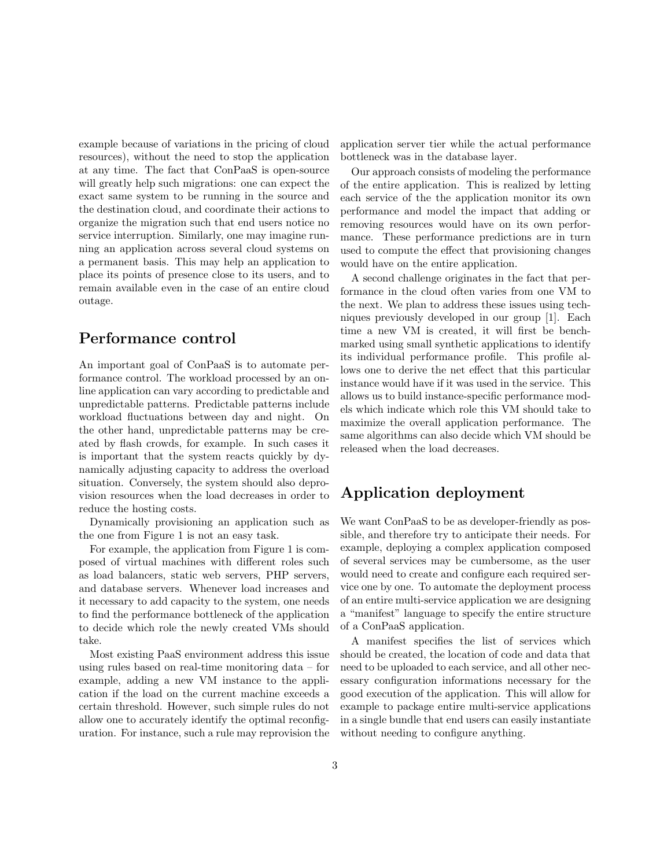example because of variations in the pricing of cloud resources), without the need to stop the application at any time. The fact that ConPaaS is open-source will greatly help such migrations: one can expect the exact same system to be running in the source and the destination cloud, and coordinate their actions to organize the migration such that end users notice no service interruption. Similarly, one may imagine running an application across several cloud systems on a permanent basis. This may help an application to place its points of presence close to its users, and to remain available even in the case of an entire cloud outage.

### Performance control

An important goal of ConPaaS is to automate performance control. The workload processed by an online application can vary according to predictable and unpredictable patterns. Predictable patterns include workload fluctuations between day and night. On the other hand, unpredictable patterns may be created by flash crowds, for example. In such cases it is important that the system reacts quickly by dynamically adjusting capacity to address the overload situation. Conversely, the system should also deprovision resources when the load decreases in order to reduce the hosting costs.

Dynamically provisioning an application such as the one from Figure 1 is not an easy task.

For example, the application from Figure 1 is composed of virtual machines with different roles such as load balancers, static web servers, PHP servers, and database servers. Whenever load increases and it necessary to add capacity to the system, one needs to find the performance bottleneck of the application to decide which role the newly created VMs should take.

Most existing PaaS environment address this issue using rules based on real-time monitoring data – for example, adding a new VM instance to the application if the load on the current machine exceeds a certain threshold. However, such simple rules do not allow one to accurately identify the optimal reconfiguration. For instance, such a rule may reprovision the application server tier while the actual performance bottleneck was in the database layer.

Our approach consists of modeling the performance of the entire application. This is realized by letting each service of the the application monitor its own performance and model the impact that adding or removing resources would have on its own performance. These performance predictions are in turn used to compute the effect that provisioning changes would have on the entire application.

A second challenge originates in the fact that performance in the cloud often varies from one VM to the next. We plan to address these issues using techniques previously developed in our group [1]. Each time a new VM is created, it will first be benchmarked using small synthetic applications to identify its individual performance profile. This profile allows one to derive the net effect that this particular instance would have if it was used in the service. This allows us to build instance-specific performance models which indicate which role this VM should take to maximize the overall application performance. The same algorithms can also decide which VM should be released when the load decreases.

# Application deployment

We want ConPaaS to be as developer-friendly as possible, and therefore try to anticipate their needs. For example, deploying a complex application composed of several services may be cumbersome, as the user would need to create and configure each required service one by one. To automate the deployment process of an entire multi-service application we are designing a "manifest" language to specify the entire structure of a ConPaaS application.

A manifest specifies the list of services which should be created, the location of code and data that need to be uploaded to each service, and all other necessary configuration informations necessary for the good execution of the application. This will allow for example to package entire multi-service applications in a single bundle that end users can easily instantiate without needing to configure anything.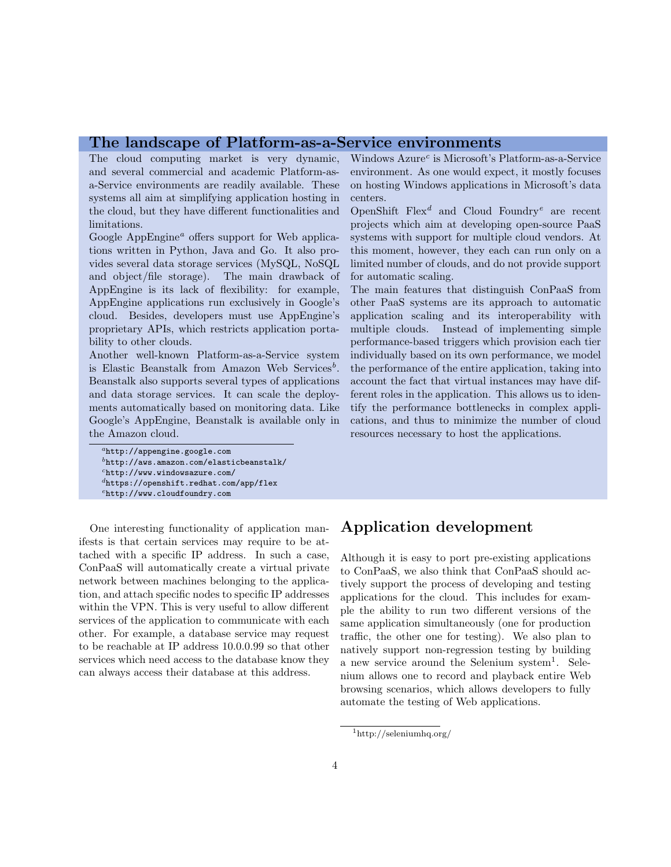#### The landscape of Platform-as-a-Service environments

The cloud computing market is very dynamic, and several commercial and academic Platform-asa-Service environments are readily available. These systems all aim at simplifying application hosting in the cloud, but they have different functionalities and limitations.

Google AppEngine<sup> $a$ </sup> offers support for Web applications written in Python, Java and Go. It also provides several data storage services (MySQL, NoSQL and object/file storage). The main drawback of AppEngine is its lack of flexibility: for example, AppEngine applications run exclusively in Google's cloud. Besides, developers must use AppEngine's proprietary APIs, which restricts application portability to other clouds.

Another well-known Platform-as-a-Service system is Elastic Beanstalk from Amazon Web Services<sup>b</sup>. Beanstalk also supports several types of applications and data storage services. It can scale the deployments automatically based on monitoring data. Like Google's AppEngine, Beanstalk is available only in the Amazon cloud.

One interesting functionality of application manifests is that certain services may require to be attached with a specific IP address. In such a case, ConPaaS will automatically create a virtual private network between machines belonging to the application, and attach specific nodes to specific IP addresses within the VPN. This is very useful to allow different services of the application to communicate with each other. For example, a database service may request to be reachable at IP address 10.0.0.99 so that other services which need access to the database know they can always access their database at this address.

Windows  $A$ zure<sup>c</sup> is Microsoft's Platform-as-a-Service environment. As one would expect, it mostly focuses on hosting Windows applications in Microsoft's data centers.

OpenShift  $Flex^d$  and Cloud Foundry<sup>e</sup> are recent projects which aim at developing open-source PaaS systems with support for multiple cloud vendors. At this moment, however, they each can run only on a limited number of clouds, and do not provide support for automatic scaling.

The main features that distinguish ConPaaS from other PaaS systems are its approach to automatic application scaling and its interoperability with multiple clouds. Instead of implementing simple performance-based triggers which provision each tier individually based on its own performance, we model the performance of the entire application, taking into account the fact that virtual instances may have different roles in the application. This allows us to identify the performance bottlenecks in complex applications, and thus to minimize the number of cloud resources necessary to host the applications.

### Application development

Although it is easy to port pre-existing applications to ConPaaS, we also think that ConPaaS should actively support the process of developing and testing applications for the cloud. This includes for example the ability to run two different versions of the same application simultaneously (one for production traffic, the other one for testing). We also plan to natively support non-regression testing by building a new service around the Selenium system<sup>1</sup>. Selenium allows one to record and playback entire Web browsing scenarios, which allows developers to fully automate the testing of Web applications.

<sup>1</sup>http://seleniumhq.org/